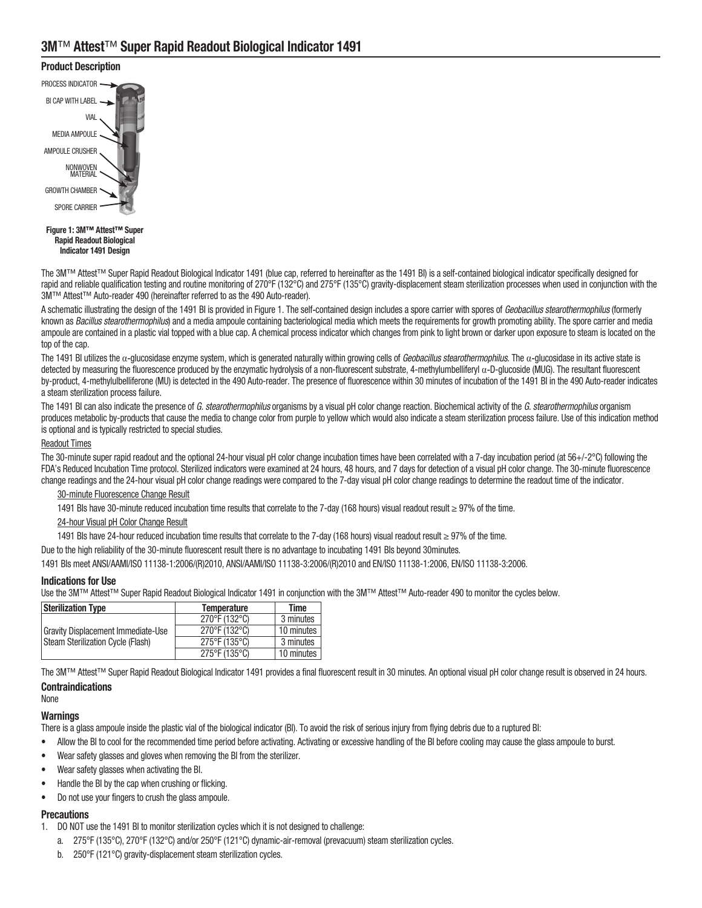# Product Description



Indicator 1491 Design

The 3M™ Attest™ Super Rapid Readout Biological Indicator 1491 (blue cap, referred to hereinafter as the 1491 BI) is a self‑contained biological indicator specifically designed for rapid and reliable qualification testing and routine monitoring of 270°F (132°C) and 275°F (135°C) gravity-displacement steam sterilization processes when used in conjunction with the 3M™ Attest™ Auto-reader 490 (hereinafter referred to as the 490 Auto-reader).

A schematic illustrating the design of the 1491 BI is provided in Figure 1. The self-contained design includes a spore carrier with spores of Geobacillus stearothermophilus (formerly known as Bacillus stearothermophilus) and a media ampoule containing bacteriological media which meets the requirements for growth promoting ability. The spore carrier and media ampoule are contained in a plastic vial topped with a blue cap. A chemical process indicator which changes from pink to light brown or darker upon exposure to steam is located on the top of the cap.

The 1491 BI utilizes the  $\alpha$ -glucosidase enzyme system, which is generated naturally within growing cells of Geobacillus stearothermophilus. The  $\alpha$ -glucosidase in its active state is detected by measuring the fluorescence produced by the enzymatic hydrolysis of a non-fluorescent substrate, 4-methylumbelliferyl  $\alpha$ -D-glucoside (MUG). The resultant fluorescent by‑product, 4‑methylulbelliferone (MU) is detected in the 490 Auto‑reader. The presence of fluorescence within 30 minutes of incubation of the 1491 BI in the 490 Auto‑reader indicates a steam sterilization process failure.

The 1491 BI can also indicate the presence of G. stearothermophilus organisms by a visual pH color change reaction. Biochemical activity of the G. stearothermophilus organism produces metabolic by-products that cause the media to change color from purple to yellow which would also indicate a steam sterilization process failure. Use of this indication method is optional and is typically restricted to special studies.

### Readout Times

The 30-minute super rapid readout and the optional 24-hour visual pH color change incubation times have been correlated with a 7-day incubation period (at 56+/-2°C) following the FDA's Reduced Incubation Time protocol. Sterilized indicators were examined at 24 hours, 48 hours, and 7 days for detection of a visual pH color change. The 30‑minute fluorescence change readings and the 24‑hour visual pH color change readings were compared to the 7‑day visual pH color change readings to determine the readout time of the indicator.

### 30‑minute Fluorescence Change Result

1491 BIs have 30‑minute reduced incubation time results that correlate to the 7‑day (168 hours) visual readout result ≥ 97% of the time.

# 24-hour Visual pH Color Change Result

1491 BIs have 24‑hour reduced incubation time results that correlate to the 7‑day (168 hours) visual readout result ≥ 97% of the time.

Due to the high reliability of the 30-minute fluorescent result there is no advantage to incubating 1491 BIs beyond 30minutes.

1491 BIs meet ANSI/AAMI/ISO 11138‑1:2006/(R)2010, ANSI/AAMI/ISO 11138‑3:2006/(R)2010 and EN/ISO 11138‑1:2006, EN/ISO 11138‑3:2006.

### Indications for Use

Use the 3M™ Attest™ Super Rapid Readout Biological Indicator 1491 in conjunction with the 3M™ Attest™ Auto-reader 490 to monitor the cycles below.

| <b>Sterilization Type</b>                                                      | <b>Temperature</b> | Time       |
|--------------------------------------------------------------------------------|--------------------|------------|
| <b>Gravity Displacement Immediate-Use</b><br>Steam Sterilization Cycle (Flash) | 270°F (132°C)      | 3 minutes  |
|                                                                                | 270°F (132°C)      | 10 minutes |
|                                                                                | 275°F (135°C)      | 3 minutes  |
|                                                                                | 275°F (135°C)      | 10 minutes |

The 3M™ Attest™ Super Rapid Readout Biological Indicator 1491 provides a final fluorescent result in 30 minutes. An optional visual pH color change result is observed in 24 hours.

#### **Contraindications** None

### Warnings

There is a glass ampoule inside the plastic vial of the biological indicator (BI). To avoid the risk of serious injury from flying debris due to a ruptured BI:

- Allow the BI to cool for the recommended time period before activating. Activating or excessive handling of the BI before cooling may cause the glass ampoule to burst.
- Wear safety glasses and gloves when removing the BI from the sterilizer.
- Wear safety glasses when activating the BI.
- Handle the BI by the cap when crushing or flicking.
- Do not use your fingers to crush the glass ampoule.

#### **Precautions**

- 1. DO NOT use the 1491 BI to monitor sterilization cycles which it is not designed to challenge:
	- a. 275°F (135°C), 270°F (132°C) and/or 250°F (121°C) dynamic-air-removal (prevacuum) steam sterilization cycles.
	- b. 250°F (121°C) gravity-displacement steam sterilization cycles.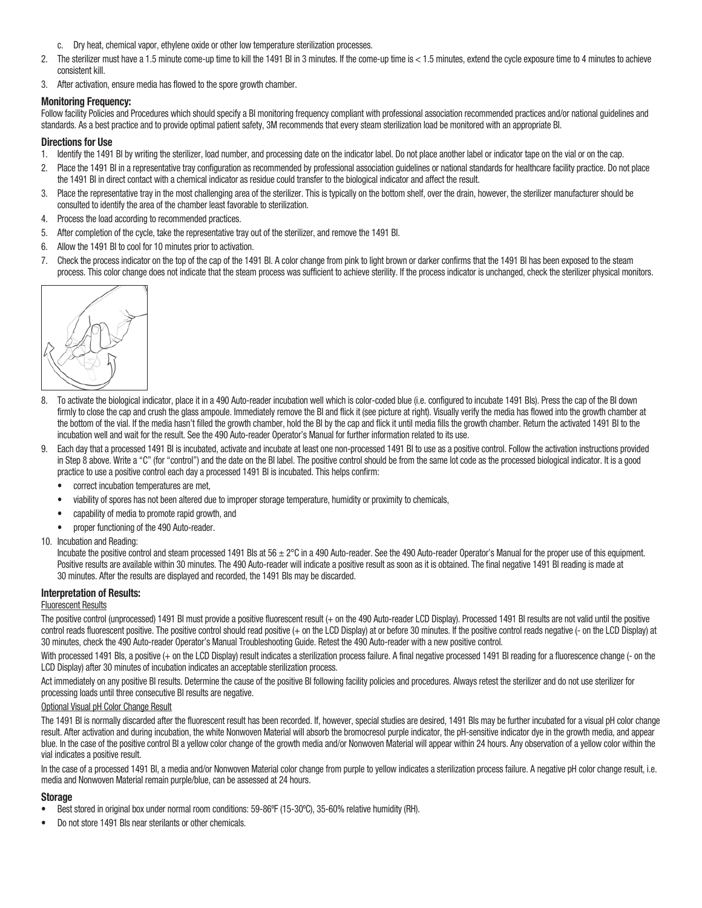- c. Dry heat, chemical vapor, ethylene oxide or other low temperature sterilization processes.
- 2. The sterilizer must have a 1.5 minute come-up time to kill the 1491 BI in 3 minutes. If the come-up time is < 1.5 minutes, extend the cycle exposure time to 4 minutes to achieve consistent kill.
- 3. After activation, ensure media has flowed to the spore growth chamber.

## Monitoring Frequency:

Follow facility Policies and Procedures which should specify a BI monitoring frequency compliant with professional association recommended practices and/or national guidelines and standards. As a best practice and to provide optimal patient safety, 3M recommends that every steam sterilization load be monitored with an appropriate BI.

## Directions for Use

- 1. Identify the 1491 BI by writing the sterilizer, load number, and processing date on the indicator label. Do not place another label or indicator tape on the vial or on the cap.
- 2. Place the 1491 BI in a representative tray configuration as recommended by professional association guidelines or national standards for healthcare facility practice. Do not place the 1491 BI in direct contact with a chemical indicator as residue could transfer to the biological indicator and affect the result.
- 3. Place the representative tray in the most challenging area of the sterilizer. This is typically on the bottom shelf, over the drain, however, the sterilizer manufacturer should be consulted to identify the area of the chamber least favorable to sterilization.
- 4. Process the load according to recommended practices.
- 5. After completion of the cycle, take the representative tray out of the sterilizer, and remove the 1491 BI.
- 6. Allow the 1491 BI to cool for 10 minutes prior to activation.
- 7. Check the process indicator on the top of the cap of the 1491 BI. A color change from pink to light brown or darker confirms that the 1491 BI has been exposed to the steam process. This color change does not indicate that the steam process was sufficient to achieve sterility. If the process indicator is unchanged, check the sterilizer physical monitors.



- 8. To activate the biological indicator, place it in a 490 Auto-reader incubation well which is color-coded blue (i.e. configured to incubate 1491 BIs). Press the cap of the BI down firmly to close the cap and crush the glass ampoule. Immediately remove the BI and flick it (see picture at right). Visually verify the media has flowed into the growth chamber at the bottom of the vial. If the media hasn't filled the growth chamber, hold the BI by the cap and flick it until media fills the growth chamber. Return the activated 1491 BI to the incubation well and wait for the result. See the 490 Auto-reader Operator's Manual for further information related to its use.
- 9. Each day that a processed 1491 BI is incubated, activate and incubate at least one non‑processed 1491 BI to use as a positive control. Follow the activation instructions provided in Step 8 above. Write a "C" (for "control") and the date on the BI label. The positive control should be from the same lot code as the processed biological indicator. It is a good practice to use a positive control each day a processed 1491 BI is incubated. This helps confirm:
	- correct incubation temperatures are met,
	- viability of spores has not been altered due to improper storage temperature, humidity or proximity to chemicals,
	- capability of media to promote rapid growth, and
	- proper functioning of the 490 Auto-reader.

#### 10. Incubation and Reading:

Incubate the positive control and steam processed 1491 Bls at 56  $\pm 2^{\circ}$ C in a 490 Auto-reader. See the 490 Auto-reader Operator's Manual for the proper use of this equipment. Positive results are available within 30 minutes. The 490 Auto-reader will indicate a positive result as soon as it is obtained. The final negative 1491 BI reading is made at 30 minutes. After the results are displayed and recorded, the 1491 BIs may be discarded.

### Interpretation of Results:

#### Fluorescent Results

The positive control (unprocessed) 1491 BI must provide a positive fluorescent result (+ on the 490 Auto-reader LCD Display). Processed 1491 BI results are not valid until the positive control reads fluorescent positive. The positive control should read positive (+ on the LCD Display) at or before 30 minutes. If the positive control reads negative (- on the LCD Display) at 30 minutes, check the 490 Auto‑reader Operator's Manual Troubleshooting Guide. Retest the 490 Auto‑reader with a new positive control.

With processed 1491 Bls, a positive (+ on the LCD Display) result indicates a sterilization process failure. A final negative processed 1491 BI reading for a fluorescence change (- on the LCD Display) after 30 minutes of incubation indicates an acceptable sterilization process.

Act immediately on any positive BI results. Determine the cause of the positive BI following facility policies and procedures. Always retest the sterilizer and do not use sterilizer for processing loads until three consecutive BI results are negative.

#### Optional Visual pH Color Change Result

The 1491 BI is normally discarded after the fluorescent result has been recorded. If, however, special studies are desired, 1491 BIs may be further incubated for a visual pH color change result. After activation and during incubation, the white Nonwoven Material will absorb the bromocresol purple indicator, the pH-sensitive indicator dye in the growth media, and appear blue. In the case of the positive control BI a yellow color change of the growth media and/or Nonwoven Material will appear within 24 hours. Any observation of a yellow color within the vial indicates a positive result.

In the case of a processed 1491 BI, a media and/or Nonwoven Material color change from purple to yellow indicates a sterilization process failure. A negative pH color change result, i.e. media and Nonwoven Material remain purple/blue, can be assessed at 24 hours.

### Storage

- Best stored in original box under normal room conditions: 59-86°F (15-30°C), 35-60% relative humidity (RH).
- Do not store 1491 BIs near sterilants or other chemicals.